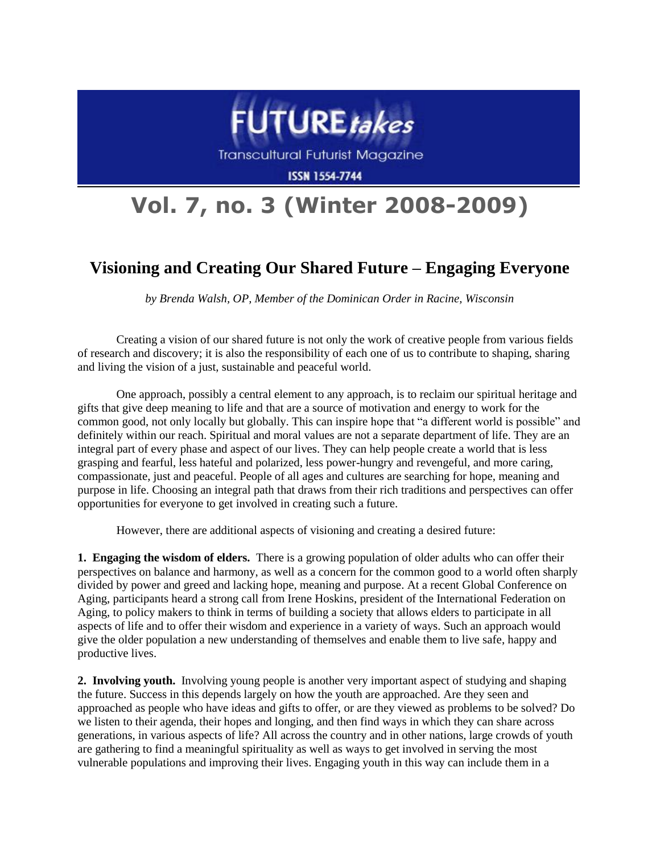

Transcultural Futurist Magazine

**ISSN 1554-7744** 

## **Vol. 7, no. 3 (Winter 2008-2009)**

## **Visioning and Creating Our Shared Future – Engaging Everyone**

*by Brenda Walsh, OP, Member of the Dominican Order in Racine, Wisconsin*

Creating a vision of our shared future is not only the work of creative people from various fields of research and discovery; it is also the responsibility of each one of us to contribute to shaping, sharing and living the vision of a just, sustainable and peaceful world.

One approach, possibly a central element to any approach, is to reclaim our spiritual heritage and gifts that give deep meaning to life and that are a source of motivation and energy to work for the common good, not only locally but globally. This can inspire hope that "a different world is possible" and definitely within our reach. Spiritual and moral values are not a separate department of life. They are an integral part of every phase and aspect of our lives. They can help people create a world that is less grasping and fearful, less hateful and polarized, less power-hungry and revengeful, and more caring, compassionate, just and peaceful. People of all ages and cultures are searching for hope, meaning and purpose in life. Choosing an integral path that draws from their rich traditions and perspectives can offer opportunities for everyone to get involved in creating such a future.

However, there are additional aspects of visioning and creating a desired future:

**1. Engaging the wisdom of elders.** There is a growing population of older adults who can offer their perspectives on balance and harmony, as well as a concern for the common good to a world often sharply divided by power and greed and lacking hope, meaning and purpose. At a recent Global Conference on Aging, participants heard a strong call from Irene Hoskins, president of the International Federation on Aging, to policy makers to think in terms of building a society that allows elders to participate in all aspects of life and to offer their wisdom and experience in a variety of ways. Such an approach would give the older population a new understanding of themselves and enable them to live safe, happy and productive lives.

**2. Involving youth.** Involving young people is another very important aspect of studying and shaping the future. Success in this depends largely on how the youth are approached. Are they seen and approached as people who have ideas and gifts to offer, or are they viewed as problems to be solved? Do we listen to their agenda, their hopes and longing, and then find ways in which they can share across generations, in various aspects of life? All across the country and in other nations, large crowds of youth are gathering to find a meaningful spirituality as well as ways to get involved in serving the most vulnerable populations and improving their lives. Engaging youth in this way can include them in a